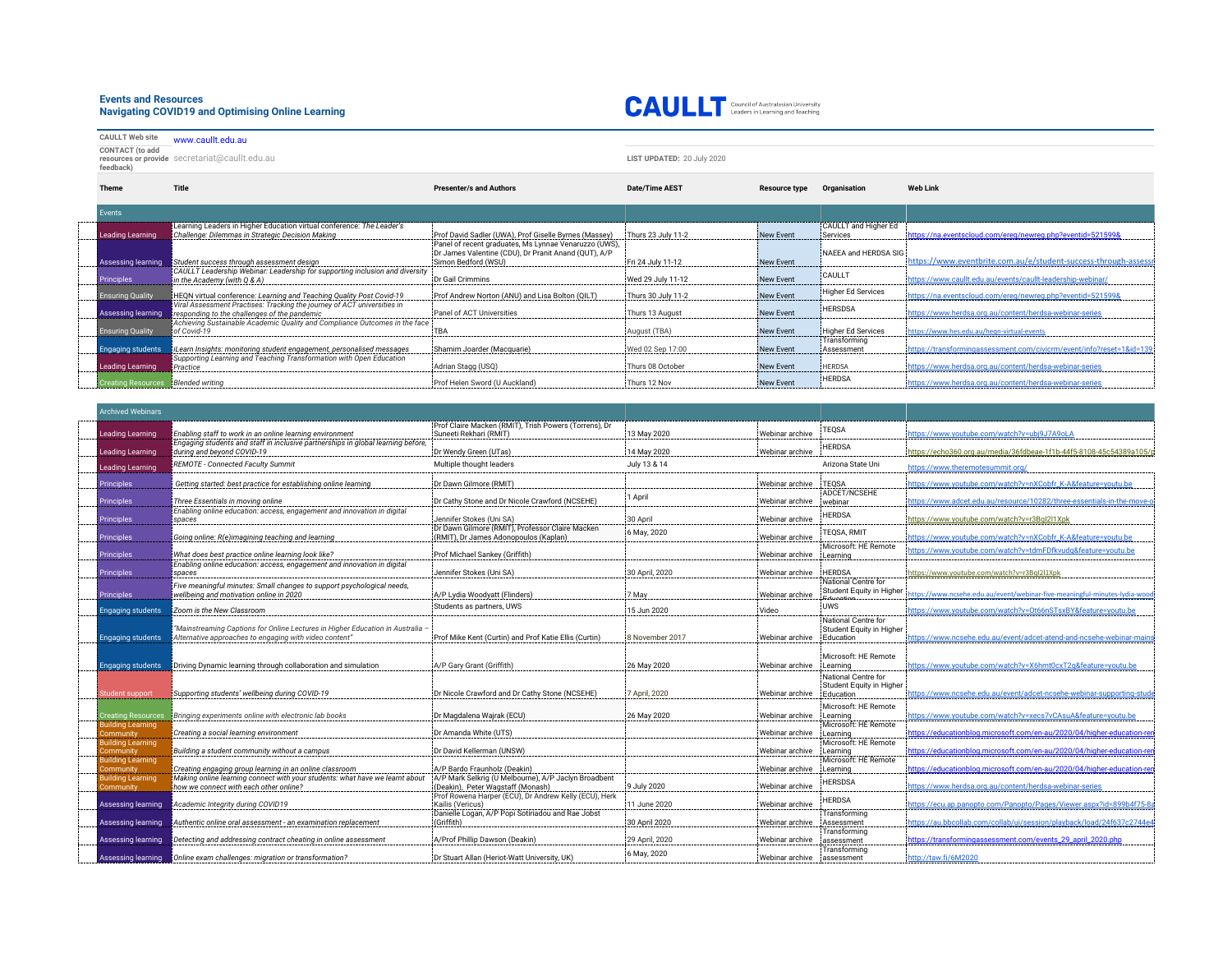## **Events and Resources Navigating COVID19 and Optimising Online Learning**



**CAULLT Web site** [www.caullt.edu.au](https://urldefense.com/v3/__http://www.caullt.edu.au__;!!NVzLfOphnbDXSw!XQjh8SFvvKXi429FQx10M7Z-cQIhUH1Rduz3AUN8e_zoVOzO49sFsW4Vq8bOZQ3MvxLPQQ$) **CONTACT (to add resources or provide feedback)** secretariat@caullt.edu.au **LIST UPDATED:** 20 July 2020

| Theme                     | Title                                                                                                                   | <b>Presenter/s and Authors</b>                                                                                                       | <b>Date/Time AEST</b> | <b>Resource type</b> | Organisation               | <b>Web Link</b>                                                      |
|---------------------------|-------------------------------------------------------------------------------------------------------------------------|--------------------------------------------------------------------------------------------------------------------------------------|-----------------------|----------------------|----------------------------|----------------------------------------------------------------------|
| Events                    |                                                                                                                         |                                                                                                                                      |                       |                      |                            |                                                                      |
|                           | Learning Leaders in Higher Education virtual conference: The Leader's                                                   |                                                                                                                                      |                       |                      | CAULLT and Higher Ed       |                                                                      |
| <b>Leading Learning</b>   | Challenge: Dilemmas in Strategic Decision Making                                                                        | Prof David Sadler (UWA), Prof Giselle Byrnes (Massey)                                                                                | Thurs 23 July 11-2    | New Event            | Services                   | https://na.eventscloud.com/ereg/newreg.php?eventid=521599&           |
| Assessing learning        | Student success through assessment design                                                                               | Panel of recent graduates, Ms Lynnae Venaruzzo (UWS),<br>Dr James Valentine (CDU), Dr Pranit Anand (QUT), A/P<br>Simon Bedford (WSU) | Fri 24 July 11-12     | New Event            | NAEEA and HERDSA SIG       | https://www.eventbrite.com.au/e/student-success-through-assessi      |
| Principles                | CAULLT Leadership Webinar: Leadership for supporting inclusion and diversity<br>in the Academy (with Q & A)             | Dr Gail Crimmins                                                                                                                     | Wed 29 July 11-12     | New Event            | CAULLT                     | https://www.caullt.edu.au/events/caullt-leadership-webinar/          |
| <b>Ensuring Quality</b>   | HEQN virtual conference: Learning and Teaching Quality Post Covid-19                                                    | Prof Andrew Norton (ANU) and Lisa Bolton (QILT)                                                                                      | Thurs 30 July 11-2    | New Event            | Higher Ed Services         | https://na.eventscloud.com/ereg/newreg.php?eventid=521599&           |
| <b>Assessing learning</b> | Viral Assessment Practises: Tracking the journey of ACT universities in<br>responding to the challenges of the pandemic | Panel of ACT Universities                                                                                                            | Thurs 13 August       | New Event            | <b>HERSDSA</b>             | https://www.herdsa.org.au/content/herdsa-webinar-series              |
| <b>Ensuring Quality</b>   | Achieving Sustainable Academic Quality and Compliance Outcomes in the face<br>of Covid-19                               | TBA                                                                                                                                  | August (TBA)          | New Event            | Higher Ed Services         | https://www.hes.edu.au/hegn-virtual-events                           |
| <b>Engaging students</b>  | iLearn Insights: monitoring student engagement, personalised messages                                                   | Shamim Joarder (Macquarie)                                                                                                           | Wed 02 Sep 17:00      | New Event            | Transforming<br>Assessment | https://transformingassessment.com/civicrm/event/info?reset=1&id=139 |
| Leading Learning          | Supporting Learning and Teaching Transformation with Open Education<br>Practice                                         | Adrian Stagg (USQ)                                                                                                                   | Thurs 08 October      | New Event            | <b>HERDSA</b>              | https://www.herdsa.org.au/content/herdsa-webinar-series              |
| <b>Creating Resources</b> | <b>Blended writing</b>                                                                                                  | Prof Helen Sword (U Auckland)                                                                                                        | Thurs 12 Nov          | New Event            | <b>HERDSA</b>              | https://www.herdsa.org.au/content/herdsa-webinar-series              |

| <b>Archived Webinars</b>              |                                                                                                                        |                                                                                           |                 |                 |                                                 |                                                                           |
|---------------------------------------|------------------------------------------------------------------------------------------------------------------------|-------------------------------------------------------------------------------------------|-----------------|-----------------|-------------------------------------------------|---------------------------------------------------------------------------|
|                                       |                                                                                                                        | Prof Claire Macken (RMIT). Trish Powers (Torrens). Dr                                     |                 |                 |                                                 |                                                                           |
| Leading Learning                      | Enabling staff to work in an online learning environment                                                               | Suneeti Rekhari (RMIT)                                                                    | 13 May 2020     | Webinar archive | TEQSA                                           | https://www.youtube.com/watch?v=ubj9J7A9oLA                               |
| Leading Learning                      | Engaging students and staff in inclusive partnerships in global learning before,<br>during and beyond COVID-19         | Dr Wendy Green (UTas)                                                                     | 14 May 2020     | Webinar archive | <b>HERDSA</b>                                   | https://echo360.org.au/media/36fdbeae-1f1b-44f5-8108-45c54389a105/r       |
| Leading Learning                      | REMOTE - Connected Faculty Summit                                                                                      | Multiple thought leaders                                                                  | July 13 & 14    |                 | Arizona State Uni                               | https://www.theremotesummit.org/                                          |
| <b>Principles</b>                     | Getting started: best practice for establishing online learning                                                        | Dr Dawn Gilmore (RMIT)                                                                    |                 | Webinar archive | <b>TEOSA</b>                                    | https://www.youtube.com/watch?v=nXCobfr_K-A&feature=youtu.be              |
| <b>Principles</b>                     | Three Essentials in moving online                                                                                      | Dr Cathy Stone and Dr Nicole Crawford (NCSEHE)                                            | 1 April         | Webinar archive | ADCET/NCSEHE<br>webinar                         | https://www.adcet.edu.au/resource/10282/three-essentials-in-the-move-o    |
|                                       | Enabling online education: access, engagement and innovation in digital                                                |                                                                                           |                 |                 | <b>HERDSA</b>                                   |                                                                           |
| Principles                            | spaces                                                                                                                 | Jennifer Stokes (Uni SA)<br>Dr Dawn Gilmore (RMIT), Professor Claire Macken               | 30 April        | Webinar archive |                                                 | https://www.youtube.com/watch?v=r3Bql2l1Xpk                               |
| <b>Principles</b>                     | Going online: R(e)imagining teaching and learning                                                                      | (RMIT), Dr James Adonopoulos (Kaplan)                                                     | 6 May, 2020     | Webinar archive | TEQSA, RMIT                                     | https://www.youtube.com/watch?v=nXCobfr_K-A&feature=youtu.be              |
| <b>Principles</b>                     | What does best practice online learning look like?                                                                     | Prof Michael Sankey (Griffith)                                                            |                 | Webinar archive | Microsoft: HE Remote<br>Learning                | ttps://www.youtube.com/watch?v=tdmFDfkvudg&feature=youtu.be               |
| <b>Principles</b>                     | Enabling online education: access, engagement and innovation in digital<br>spaces                                      | Jennifer Stokes (Uni SA)                                                                  | 30 April, 2020  | Webinar archive | <b>HERDSA</b>                                   | https://www.youtube.com/watch?v=r3BgI2l1Xpk                               |
|                                       | Five meaningful minutes: Small changes to support psychological needs,                                                 |                                                                                           |                 |                 | National Centre for<br>Student Equity in Higher |                                                                           |
| <b>Principles</b>                     | wellbeing and motivation online in 2020                                                                                | A/P Lydia Woodyatt (Flinders)                                                             | 7 May           | Webinar archive |                                                 | ttps://www.ncsehe.edu.au/event/webinar-five-meaningful-minutes-lydia-wood |
| Engaging students                     | Zoom is the New Classroom                                                                                              | Students as partners, UWS                                                                 | 15 Jun 2020     | Video           | <b>UWS</b>                                      | https://www.youtube.com/watch?v=Ot66nSTsxBY&feature=youtu.be              |
|                                       | "Mainstreaming Captions for Online Lectures in Higher Education in Australia -                                         |                                                                                           |                 |                 | National Centre for<br>Student Equity in Higher |                                                                           |
| Engaging students                     | Alternative approaches to engaging with video content"                                                                 | Prof Mike Kent (Curtin) and Prof Katie Ellis (Curtin)                                     | 8 November 2017 | Webinar archive | Education                                       | https://www.ncsehe.edu.au/event/adcet-atend-and-ncsehe-webinar-mair       |
|                                       |                                                                                                                        |                                                                                           |                 |                 | Microsoft: HE Remote                            |                                                                           |
| Engaging students                     | Driving Dynamic learning through collaboration and simulation                                                          | A/P Gary Grant (Griffith)                                                                 | 26 May 2020     | Webinar archive | Learning                                        | https://www.youtube.com/watch?v=X6hmt0cxT2q&feature=youtu.be              |
|                                       |                                                                                                                        |                                                                                           |                 |                 | National Centre for                             |                                                                           |
| tudent support                        | Supporting students' wellbeing during COVID-19                                                                         | Dr Nicole Crawford and Dr Cathy Stone (NCSEHE)                                            | 7 April, 2020   | Webinar archive | Student Equity in Higher<br>Education           | https://www.ncsehe.edu.au/event/adcet-ncsehe-webinar-supporting-stude     |
|                                       |                                                                                                                        |                                                                                           |                 |                 | Microsoft: HE Remote                            |                                                                           |
| reating Resources:                    | Bringing experiments online with electronic lab books                                                                  | Dr Magdalena Wajrak (ECU)                                                                 | 26 May 2020     | Webinar archive | Learning                                        | https://www.youtube.com/watch?v=xecs7vCAsuA&feature=youtu.be              |
| Building Learning                     |                                                                                                                        |                                                                                           |                 |                 | Microsoft: HE Remote                            |                                                                           |
| Community                             | Creating a social learning environment                                                                                 | Dr Amanda White (UTS)                                                                     |                 | Webinar archive | Learning                                        | https://educationblog.microsoft.com/en-au/2020/04/higher-education-rer    |
| <b>Building Learning</b><br>Community | Building a student community without a campus                                                                          | Dr David Kellerman (UNSW)                                                                 |                 | Webinar archive | Microsoft: HE Remote<br>Learning                | https://educationblog.microsoft.com/en-au/2020/04/higher-education-ren    |
| <b>Building Learning</b>              |                                                                                                                        |                                                                                           |                 |                 | Microsoft: HE Remote                            |                                                                           |
| Community                             | Creating engaging group learning in an online classroom                                                                | A/P Bardo Fraunholz (Deakin)                                                              |                 | Webinar archive | Learning                                        | https://educationblog.microsoft.com/en-au/2020/04/higher-education-ren    |
| Building Learning<br>Community        | Making online learning connect with your students: what have we learnt about<br>how we connect with each other online? | A/P Mark Selkrig (U Melbourne), A/P Jaclyn Broadbent<br>(Deakin), Peter Wagstaff (Monash) | 9 July 2020     | Webinar archive | <b>HERSDSA</b>                                  | https://www.herdsa.org.au/content/herdsa-webinar-series                   |
| Assessing learning                    | Academic Integrity during COVID19                                                                                      | Prof Rowena Harper (ECU), Dr Andrew Kelly (ECU), Herk<br>Kailis (Vericus)                 | 11 June 2020    | Webinar archive | <b>HERDSA</b>                                   | https://ecu.ap.panopto.com/Panopto/Pages/Viewer.aspx?id=899b4f75-8        |
|                                       |                                                                                                                        | Danielle Logan, A/P Popi Sotiriadou and Rae Jobst                                         |                 |                 | Transforming                                    |                                                                           |
| Assessing learning                    | Authentic online oral assessment - an examination replacement                                                          | (Griffith)                                                                                | 30 April 2020   | Webinar archive | Assessment                                      | https://au.bbcollab.com/collab/ui/session/playback/load/24f637c2744e4     |
| Assessing learning                    | Detecting and addressing contract cheating in online assessment                                                        | A/Prof Phillip Dawson (Deakin)                                                            | 29 April, 2020  | Webinar archive | Transforming<br>assessment                      | https://transformingassessment.com/events_29_april_2020.php               |
|                                       | Assessing learning <b>Online</b> exam challenges: migration or transformation?                                         | Dr Stuart Allan (Heriot-Watt University, UK)                                              | 6 May, 2020     | Webinar archive | Transforming                                    | http://taw.fi/6M2020                                                      |
|                                       |                                                                                                                        |                                                                                           |                 |                 | assessment                                      |                                                                           |